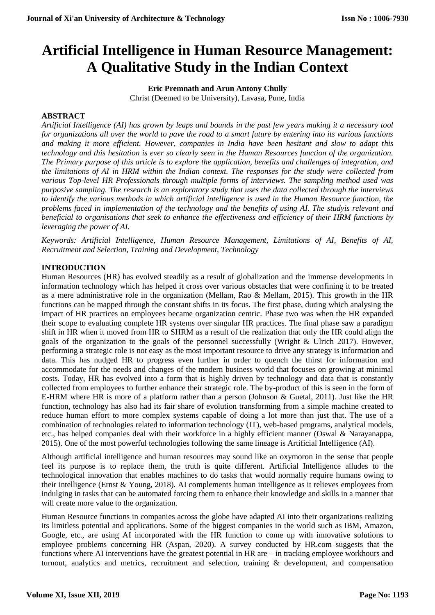# **Artificial Intelligence in Human Resource Management: A Qualitative Study in the Indian Context**

**Eric Premnath and Arun Antony Chully** Christ (Deemed to be University), Lavasa, Pune, India

#### **ABSTRACT**

*Artificial Intelligence (AI) has grown by leaps and bounds in the past few years making it a necessary tool for organizations all over the world to pave the road to a smart future by entering into its various functions and making it more efficient. However, companies in India have been hesitant and slow to adapt this technology and this hesitation is ever so clearly seen in the Human Resources function of the organization. The Primary purpose of this article is to explore the application, benefits and challenges of integration, and the limitations of AI in HRM within the Indian context. The responses for the study were collected from various Top-level HR Professionals through multiple forms of interviews. The sampling method used was purposive sampling. The research is an exploratory study that uses the data collected through the interviews to identify the various methods in which artificial intelligence is used in the Human Resource function, the problems faced in implementation of the technology and the benefits of using AI. The studyis relevant and beneficial to organisations that seek to enhance the effectiveness and efficiency of their HRM functions by leveraging the power of AI.*

*Keywords: Artificial Intelligence, Human Resource Management, Limitations of AI, Benefits of AI, Recruitment and Selection, Training and Development, Technology*

#### **INTRODUCTION**

Human Resources (HR) has evolved steadily as a result of globalization and the immense developments in information technology which has helped it cross over various obstacles that were confining it to be treated as a mere administrative role in the organization (Mellam, Rao & Mellam, 2015). This growth in the HR functions can be mapped through the constant shifts in its focus. The first phase, during which analysing the impact of HR practices on employees became organization centric. Phase two was when the HR expanded their scope to evaluating complete HR systems over singular HR practices. The final phase saw a paradigm shift in HR when it moved from HR to SHRM as a result of the realization that only the HR could align the goals of the organization to the goals of the personnel successfully (Wright & Ulrich 2017). However, performing a strategic role is not easy as the most important resource to drive any strategy is information and data. This has nudged HR to progress even further in order to quench the thirst for information and accommodate for the needs and changes of the modern business world that focuses on growing at minimal costs. Today, HR has evolved into a form that is highly driven by technology and data that is constantly collected from employees to further enhance their strategic role. The by-product of this is seen in the form of E-HRM where HR is more of a platform rather than a person (Johnson & Guetal, 2011). Just like the HR function, technology has also had its fair share of evolution transforming from a simple machine created to reduce human effort to more complex systems capable of doing a lot more than just that. The use of a combination of technologies related to information technology (IT), web-based programs, analytical models, etc., has helped companies deal with their workforce in a highly efficient manner (Oswal & Narayanappa, 2015). One of the most powerful technologies following the same lineage is Artificial Intelligence (AI).

Although artificial intelligence and human resources may sound like an oxymoron in the sense that people feel its purpose is to replace them, the truth is quite different. Artificial Intelligence alludes to the technological innovation that enables machines to do tasks that would normally require humans owing to their intelligence (Ernst & Young, 2018). AI complements human intelligence as it relieves employees from indulging in tasks that can be automated forcing them to enhance their knowledge and skills in a manner that will create more value to the organization.

Human Resource functions in companies across the globe have adapted AI into their organizations realizing its limitless potential and applications. Some of the biggest companies in the world such as IBM, Amazon, Google, etc., are using AI incorporated with the HR function to come up with innovative solutions to employee problems concerning HR (Aspan, 2020). A survey conducted by HR.com suggests that the functions where AI interventions have the greatest potential in HR are – in tracking employee workhours and turnout, analytics and metrics, recruitment and selection, training & development, and compensation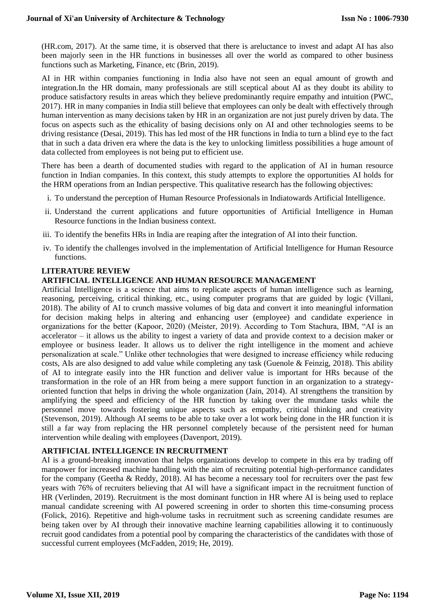(HR.com, 2017). At the same time, it is observed that there is areluctance to invest and adapt AI has also been majorly seen in the HR functions in businesses all over the world as compared to other business functions such as Marketing, Finance, etc (Brin, 2019).

AI in HR within companies functioning in India also have not seen an equal amount of growth and integration.In the HR domain, many professionals are still sceptical about AI as they doubt its ability to produce satisfactory results in areas which they believe predominantly require empathy and intuition (PWC, 2017). HR in many companies in India still believe that employees can only be dealt with effectively through human intervention as many decisions taken by HR in an organization are not just purely driven by data. The focus on aspects such as the ethicality of basing decisions only on AI and other technologies seems to be driving resistance (Desai, 2019). This has led most of the HR functions in India to turn a blind eye to the fact that in such a data driven era where the data is the key to unlocking limitless possibilities a huge amount of data collected from employees is not being put to efficient use.

There has been a dearth of documented studies with regard to the application of AI in human resource function in Indian companies. In this context, this study attempts to explore the opportunities AI holds for the HRM operations from an Indian perspective. This qualitative research has the following objectives:

- i. To understand the perception of Human Resource Professionals in Indiatowards Artificial Intelligence.
- ii. Understand the current applications and future opportunities of Artificial Intelligence in Human Resource functions in the Indian business context.
- iii. To identify the benefits HRs in India are reaping after the integration of AI into their function.
- iv. To identify the challenges involved in the implementation of Artificial Intelligence for Human Resource functions.

#### **LITERATURE REVIEW**

#### **ARTIFICIAL INTELLIGENCE AND HUMAN RESOURCE MANAGEMENT**

Artificial Intelligence is a science that aims to replicate aspects of human intelligence such as learning, reasoning, perceiving, critical thinking, etc., using computer programs that are guided by logic (Villani, 2018). The ability of AI to crunch massive volumes of big data and convert it into meaningful information for decision making helps in altering and enhancing user (employee) and candidate experience in organizations for the better (Kapoor, 2020) (Meister, 2019). According to Tom Stachura, IBM, "AI is an accelerator – it allows us the ability to ingest a variety of data and provide context to a decision maker or employee or business leader. It allows us to deliver the right intelligence in the moment and achieve personalization at scale." Unlike other technologies that were designed to increase efficiency while reducing costs, AIs are also designed to add value while completing any task (Guenole & Feinzig, 2018). This ability of AI to integrate easily into the HR function and deliver value is important for HRs because of the transformation in the role of an HR from being a mere support function in an organization to a strategyoriented function that helps in driving the whole organization (Jain, 2014). AI strengthens the transition by amplifying the speed and efficiency of the HR function by taking over the mundane tasks while the personnel move towards fostering unique aspects such as empathy, critical thinking and creativity (Stevenson, 2019). Although AI seems to be able to take over a lot work being done in the HR function it is still a far way from replacing the HR personnel completely because of the persistent need for human intervention while dealing with employees (Davenport, 2019).

#### **ARTIFICIAL INTELLIGENCE IN RECRUITMENT**

AI is a ground-breaking innovation that helps organizations develop to compete in this era by trading off manpower for increased machine handling with the aim of recruiting potential high-performance candidates for the company (Geetha & Reddy, 2018). AI has become a necessary tool for recruiters over the past few years with 76% of recruiters believing that AI will have a significant impact in the recruitment function of HR (Verlinden, 2019). Recruitment is the most dominant function in HR where AI is being used to replace manual candidate screening with AI powered screening in order to shorten this time-consuming process (Folick, 2016). Repetitive and high-volume tasks in recruitment such as screening candidate resumes are being taken over by AI through their innovative machine learning capabilities allowing it to continuously recruit good candidates from a potential pool by comparing the characteristics of the candidates with those of successful current employees (McFadden, 2019; He, 2019).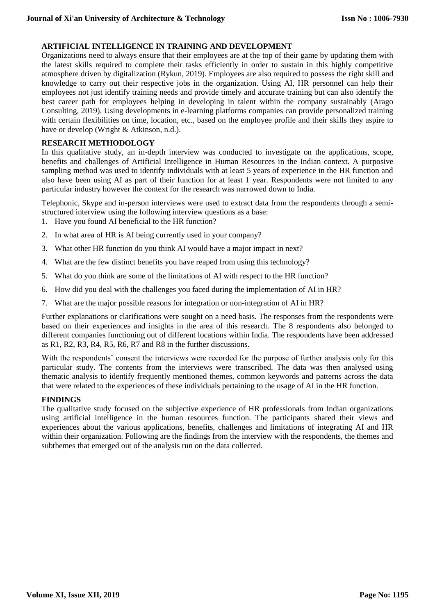#### **ARTIFICIAL INTELLIGENCE IN TRAINING AND DEVELOPMENT**

Organizations need to always ensure that their employees are at the top of their game by updating them with the latest skills required to complete their tasks efficiently in order to sustain in this highly competitive atmosphere driven by digitalization (Rykun, 2019). Employees are also required to possess the right skill and knowledge to carry out their respective jobs in the organization. Using AI, HR personnel can help their employees not just identify training needs and provide timely and accurate training but can also identify the best career path for employees helping in developing in talent within the company sustainably (Arago Consulting, 2019). Using developments in e-learning platforms companies can provide personalized training with certain flexibilities on time, location, etc., based on the employee profile and their skills they aspire to have or develop (Wright & Atkinson, n.d.).

#### **RESEARCH METHODOLOGY**

In this qualitative study, an in-depth interview was conducted to investigate on the applications, scope, benefits and challenges of Artificial Intelligence in Human Resources in the Indian context. A purposive sampling method was used to identify individuals with at least 5 years of experience in the HR function and also have been using AI as part of their function for at least 1 year. Respondents were not limited to any particular industry however the context for the research was narrowed down to India.

Telephonic, Skype and in-person interviews were used to extract data from the respondents through a semistructured interview using the following interview questions as a base:

- 1. Have you found AI beneficial to the HR function?
- 2. In what area of HR is AI being currently used in your company?
- 3. What other HR function do you think AI would have a major impact in next?
- 4. What are the few distinct benefits you have reaped from using this technology?
- 5. What do you think are some of the limitations of AI with respect to the HR function?
- 6. How did you deal with the challenges you faced during the implementation of AI in HR?
- 7. What are the major possible reasons for integration or non-integration of AI in HR?

Further explanations or clarifications were sought on a need basis. The responses from the respondents were based on their experiences and insights in the area of this research. The 8 respondents also belonged to different companies functioning out of different locations within India. The respondents have been addressed as R1, R2, R3, R4, R5, R6, R7 and R8 in the further discussions.

With the respondents' consent the interviews were recorded for the purpose of further analysis only for this particular study. The contents from the interviews were transcribed. The data was then analysed using thematic analysis to identify frequently mentioned themes, common keywords and patterns across the data that were related to the experiences of these individuals pertaining to the usage of AI in the HR function.

#### **FINDINGS**

The qualitative study focused on the subjective experience of HR professionals from Indian organizations using artificial intelligence in the human resources function. The participants shared their views and experiences about the various applications, benefits, challenges and limitations of integrating AI and HR within their organization. Following are the findings from the interview with the respondents, the themes and subthemes that emerged out of the analysis run on the data collected.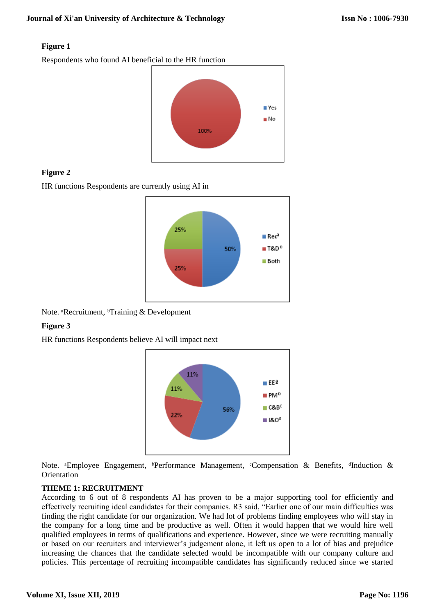#### **Figure 1**

Respondents who found AI beneficial to the HR function



## **Figure 2**

HR functions Respondents are currently using AI in



Note. <sup>a</sup>Recruitment, <sup>b</sup>Training & Development

# **Figure 3**

HR functions Respondents believe AI will impact next



Note. <sup>a</sup>Employee Engagement, <sup>b</sup>Performance Management, <sup>c</sup>Compensation & Benefits, <sup>d</sup>Induction & **Orientation** 

## **THEME 1: RECRUITMENT**

According to 6 out of 8 respondents AI has proven to be a major supporting tool for efficiently and effectively recruiting ideal candidates for their companies. R3 said, "Earlier one of our main difficulties was finding the right candidate for our organization. We had lot of problems finding employees who will stay in the company for a long time and be productive as well. Often it would happen that we would hire well qualified employees in terms of qualifications and experience. However, since we were recruiting manually or based on our recruiters and interviewer's judgement alone, it left us open to a lot of bias and prejudice increasing the chances that the candidate selected would be incompatible with our company culture and policies. This percentage of recruiting incompatible candidates has significantly reduced since we started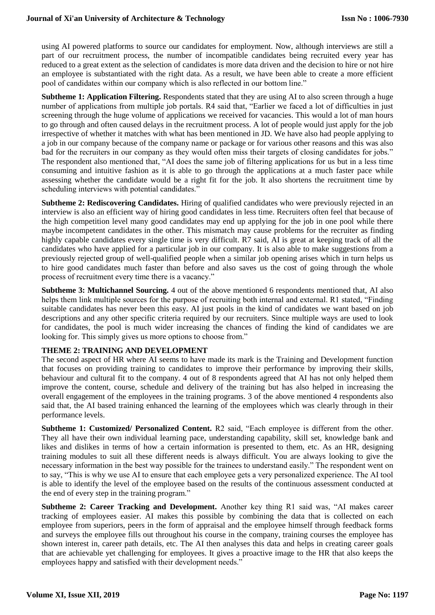using AI powered platforms to source our candidates for employment. Now, although interviews are still a part of our recruitment process, the number of incompatible candidates being recruited every year has reduced to a great extent as the selection of candidates is more data driven and the decision to hire or not hire an employee is substantiated with the right data. As a result, we have been able to create a more efficient pool of candidates within our company which is also reflected in our bottom line."

**Subtheme 1: Application Filtering.** Respondents stated that they are using AI to also screen through a huge number of applications from multiple job portals. R4 said that, "Earlier we faced a lot of difficulties in just screening through the huge volume of applications we received for vacancies. This would a lot of man hours to go through and often caused delays in the recruitment process. A lot of people would just apply for the job irrespective of whether it matches with what has been mentioned in JD. We have also had people applying to a job in our company because of the company name or package or for various other reasons and this was also bad for the recruiters in our company as they would often miss their targets of closing candidates for jobs." The respondent also mentioned that, "AI does the same job of filtering applications for us but in a less time consuming and intuitive fashion as it is able to go through the applications at a much faster pace while assessing whether the candidate would be a right fit for the job. It also shortens the recruitment time by scheduling interviews with potential candidates."

**Subtheme 2: Rediscovering Candidates.** Hiring of qualified candidates who were previously rejected in an interview is also an efficient way of hiring good candidates in less time. Recruiters often feel that because of the high competition level many good candidates may end up applying for the job in one pool while there maybe incompetent candidates in the other. This mismatch may cause problems for the recruiter as finding highly capable candidates every single time is very difficult. R7 said, AI is great at keeping track of all the candidates who have applied for a particular job in our company. It is also able to make suggestions from a previously rejected group of well-qualified people when a similar job opening arises which in turn helps us to hire good candidates much faster than before and also saves us the cost of going through the whole process of recruitment every time there is a vacancy."

**Subtheme 3: Multichannel Sourcing.** 4 out of the above mentioned 6 respondents mentioned that, AI also helps them link multiple sources for the purpose of recruiting both internal and external. R1 stated, "Finding suitable candidates has never been this easy. AI just pools in the kind of candidates we want based on job descriptions and any other specific criteria required by our recruiters. Since multiple ways are used to look for candidates, the pool is much wider increasing the chances of finding the kind of candidates we are looking for. This simply gives us more options to choose from."

#### **THEME 2: TRAINING AND DEVELOPMENT**

The second aspect of HR where AI seems to have made its mark is the Training and Development function that focuses on providing training to candidates to improve their performance by improving their skills, behaviour and cultural fit to the company. 4 out of 8 respondents agreed that AI has not only helped them improve the content, course, schedule and delivery of the training but has also helped in increasing the overall engagement of the employees in the training programs. 3 of the above mentioned 4 respondents also said that, the AI based training enhanced the learning of the employees which was clearly through in their performance levels.

**Subtheme 1: Customized/ Personalized Content.** R2 said, "Each employee is different from the other. They all have their own individual learning pace, understanding capability, skill set, knowledge bank and likes and dislikes in terms of how a certain information is presented to them, etc. As an HR, designing training modules to suit all these different needs is always difficult. You are always looking to give the necessary information in the best way possible for the trainees to understand easily." The respondent went on to say, "This is why we use AI to ensure that each employee gets a very personalized experience. The AI tool is able to identify the level of the employee based on the results of the continuous assessment conducted at the end of every step in the training program."

**Subtheme 2: Career Tracking and Development.** Another key thing R1 said was, "AI makes career tracking of employees easier. AI makes this possible by combining the data that is collected on each employee from superiors, peers in the form of appraisal and the employee himself through feedback forms and surveys the employee fills out throughout his course in the company, training courses the employee has shown interest in, career path details, etc. The AI then analyses this data and helps in creating career goals that are achievable yet challenging for employees. It gives a proactive image to the HR that also keeps the employees happy and satisfied with their development needs."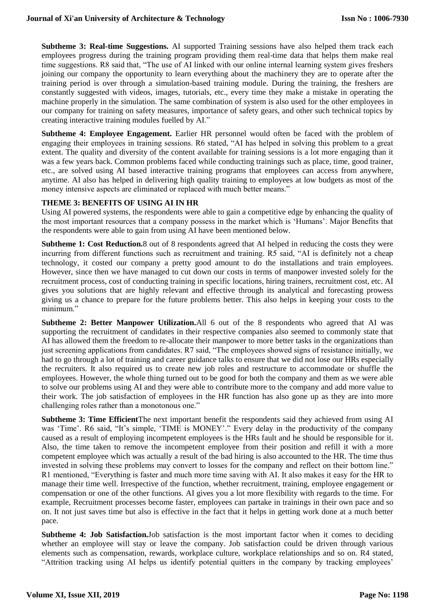**Subtheme 3: Real-time Suggestions.** AI supported Training sessions have also helped them track each employees progress during the training program providing them real-time data that helps them make real time suggestions. R8 said that, "The use of AI linked with our online internal learning system gives freshers joining our company the opportunity to learn everything about the machinery they are to operate after the training period is over through a simulation-based training module. During the training, the freshers are constantly suggested with videos, images, tutorials, etc., every time they make a mistake in operating the machine properly in the simulation. The same combination of system is also used for the other employees in our company for training on safety measures, importance of safety gears, and other such technical topics by creating interactive training modules fuelled by AI."

**Subtheme 4: Employee Engagement.** Earlier HR personnel would often be faced with the problem of engaging their employees in training sessions. R6 stated, "AI has helped in solving this problem to a great extent. The quality and diversity of the content available for training sessions is a lot more engaging than it was a few years back. Common problems faced while conducting trainings such as place, time, good trainer, etc., are solved using AI based interactive training programs that employees can access from anywhere, anytime. AI also has helped in delivering high quality training to employees at low budgets as most of the money intensive aspects are eliminated or replaced with much better means."

#### **THEME 3: BENEFITS OF USING AI IN HR**

Using AI powered systems, the respondents were able to gain a competitive edge by enhancing the quality of the most important resources that a company possess in the market which is 'Humans'. Major Benefits that the respondents were able to gain from using AI have been mentioned below.

**Subtheme 1: Cost Reduction.**8 out of 8 respondents agreed that AI helped in reducing the costs they were incurring from different functions such as recruitment and training. R5 said, "AI is definitely not a cheap technology, it costed our company a pretty good amount to do the installations and train employees. However, since then we have managed to cut down our costs in terms of manpower invested solely for the recruitment process, cost of conducting training in specific locations, hiring trainers, recruitment cost, etc. AI gives you solutions that are highly relevant and effective through its analytical and forecasting prowess giving us a chance to prepare for the future problems better. This also helps in keeping your costs to the minimum."

**Subtheme 2: Better Manpower Utilization.**All 6 out of the 8 respondents who agreed that AI was supporting the recruitment of candidates in their respective companies also seemed to commonly state that AI has allowed them the freedom to re-allocate their manpower to more better tasks in the organizations than just screening applications from candidates. R7 said, "The employees showed signs of resistance initially, we had to go through a lot of training and career guidance talks to ensure that we did not lose our HRs especially the recruiters. It also required us to create new job roles and restructure to accommodate or shuffle the employees. However, the whole thing turned out to be good for both the company and them as we were able to solve our problems using AI and they were able to contribute more to the company and add more value to their work. The job satisfaction of employees in the HR function has also gone up as they are into more challenging roles rather than a monotonous one."

**Subtheme 3: Time Efficient**The next important benefit the respondents said they achieved from using AI was 'Time'. R6 said, "It's simple, 'TIME is MONEY'." Every delay in the productivity of the company caused as a result of employing incompetent employees is the HRs fault and he should be responsible for it. Also, the time taken to remove the incompetent employee from their position and refill it with a more competent employee which was actually a result of the bad hiring is also accounted to the HR. The time thus invested in solving these problems may convert to losses for the company and reflect on their bottom line." R1 mentioned, "Everything is faster and much more time saving with AI. It also makes it easy for the HR to manage their time well. Irrespective of the function, whether recruitment, training, employee engagement or compensation or one of the other functions. AI gives you a lot more flexibility with regards to the time. For example, Recruitment processes become faster, employees can partake in trainings in their own pace and so on. It not just saves time but also is effective in the fact that it helps in getting work done at a much better pace.

**Subtheme 4: Job Satisfaction.**Job satisfaction is the most important factor when it comes to deciding whether an employee will stay or leave the company. Job satisfaction could be driven through various elements such as compensation, rewards, workplace culture, workplace relationships and so on. R4 stated, "Attrition tracking using AI helps us identify potential quitters in the company by tracking employees'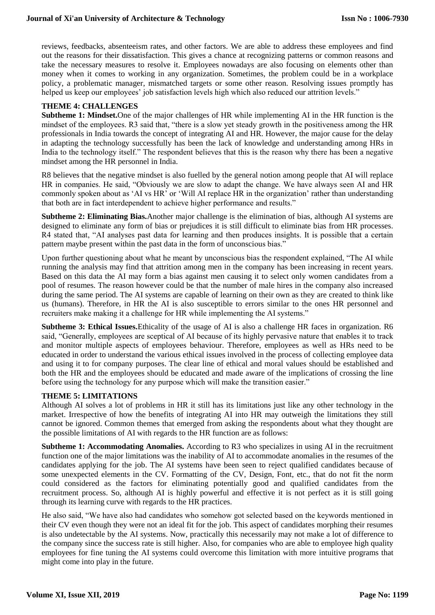reviews, feedbacks, absenteeism rates, and other factors. We are able to address these employees and find out the reasons for their dissatisfaction. This gives a chance at recognizing patterns or common reasons and take the necessary measures to resolve it. Employees nowadays are also focusing on elements other than money when it comes to working in any organization. Sometimes, the problem could be in a workplace policy, a problematic manager, mismatched targets or some other reason. Resolving issues promptly has helped us keep our employees' job satisfaction levels high which also reduced our attrition levels."

#### **THEME 4: CHALLENGES**

**Subtheme 1: Mindset.**One of the major challenges of HR while implementing AI in the HR function is the mindset of the employees. R3 said that, "there is a slow yet steady growth in the positiveness among the HR professionals in India towards the concept of integrating AI and HR. However, the major cause for the delay in adapting the technology successfully has been the lack of knowledge and understanding among HRs in India to the technology itself." The respondent believes that this is the reason why there has been a negative mindset among the HR personnel in India.

R8 believes that the negative mindset is also fuelled by the general notion among people that AI will replace HR in companies. He said, "Obviously we are slow to adapt the change. We have always seen AI and HR commonly spoken about as 'AI vs HR' or 'Will AI replace HR in the organization' rather than understanding that both are in fact interdependent to achieve higher performance and results."

**Subtheme 2: Eliminating Bias.**Another major challenge is the elimination of bias, although AI systems are designed to eliminate any form of bias or prejudices it is still difficult to eliminate bias from HR processes. R4 stated that, "AI analyses past data for learning and then produces insights. It is possible that a certain pattern maybe present within the past data in the form of unconscious bias."

Upon further questioning about what he meant by unconscious bias the respondent explained, "The AI while running the analysis may find that attrition among men in the company has been increasing in recent years. Based on this data the AI may form a bias against men causing it to select only women candidates from a pool of resumes. The reason however could be that the number of male hires in the company also increased during the same period. The AI systems are capable of learning on their own as they are created to think like us (humans). Therefore, in HR the AI is also susceptible to errors similar to the ones HR personnel and recruiters make making it a challenge for HR while implementing the AI systems."

**Subtheme 3: Ethical Issues.**Ethicality of the usage of AI is also a challenge HR faces in organization. R6 said, "Generally, employees are sceptical of AI because of its highly pervasive nature that enables it to track and monitor multiple aspects of employees behaviour. Therefore, employees as well as HRs need to be educated in order to understand the various ethical issues involved in the process of collecting employee data and using it to for company purposes. The clear line of ethical and moral values should be established and both the HR and the employees should be educated and made aware of the implications of crossing the line before using the technology for any purpose which will make the transition easier."

#### **THEME 5: LIMITATIONS**

Although AI solves a lot of problems in HR it still has its limitations just like any other technology in the market. Irrespective of how the benefits of integrating AI into HR may outweigh the limitations they still cannot be ignored. Common themes that emerged from asking the respondents about what they thought are the possible limitations of AI with regards to the HR function are as follows:

**Subtheme 1: Accommodating Anomalies.** According to R3 who specializes in using AI in the recruitment function one of the major limitations was the inability of AI to accommodate anomalies in the resumes of the candidates applying for the job. The AI systems have been seen to reject qualified candidates because of some unexpected elements in the CV. Formatting of the CV, Design, Font, etc., that do not fit the norm could considered as the factors for eliminating potentially good and qualified candidates from the recruitment process. So, although AI is highly powerful and effective it is not perfect as it is still going through its learning curve with regards to the HR practices.

He also said, "We have also had candidates who somehow got selected based on the keywords mentioned in their CV even though they were not an ideal fit for the job. This aspect of candidates morphing their resumes is also undetectable by the AI systems. Now, practically this necessarily may not make a lot of difference to the company since the success rate is still higher. Also, for companies who are able to employee high quality employees for fine tuning the AI systems could overcome this limitation with more intuitive programs that might come into play in the future.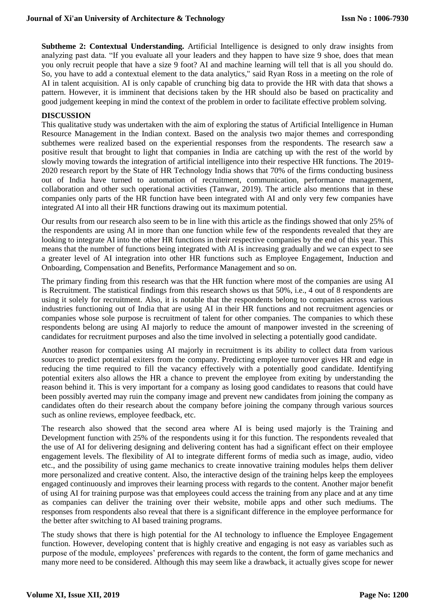**Subtheme 2: Contextual Understanding.** Artificial Intelligence is designed to only draw insights from analyzing past data. "If you evaluate all your leaders and they happen to have size 9 shoe, does that mean you only recruit people that have a size 9 foot? AI and machine learning will tell that is all you should do. So, you have to add a contextual element to the data analytics," said Ryan Ross in a meeting on the role of AI in talent acquisition. AI is only capable of crunching big data to provide the HR with data that shows a pattern. However, it is imminent that decisions taken by the HR should also be based on practicality and good judgement keeping in mind the context of the problem in order to facilitate effective problem solving.

# **DISCUSSION**

This qualitative study was undertaken with the aim of exploring the status of Artificial Intelligence in Human Resource Management in the Indian context. Based on the analysis two major themes and corresponding subthemes were realized based on the experiential responses from the respondents. The research saw a positive result that brought to light that companies in India are catching up with the rest of the world by slowly moving towards the integration of artificial intelligence into their respective HR functions. The 2019- 2020 research report by the State of HR Technology India shows that 70% of the firms conducting business out of India have turned to automation of recruitment, communication, performance management, collaboration and other such operational activities (Tanwar, 2019). The article also mentions that in these companies only parts of the HR function have been integrated with AI and only very few companies have integrated AI into all their HR functions drawing out its maximum potential.

Our results from our research also seem to be in line with this article as the findings showed that only 25% of the respondents are using AI in more than one function while few of the respondents revealed that they are looking to integrate AI into the other HR functions in their respective companies by the end of this year. This means that the number of functions being integrated with AI is increasing gradually and we can expect to see a greater level of AI integration into other HR functions such as Employee Engagement, Induction and Onboarding, Compensation and Benefits, Performance Management and so on.

The primary finding from this research was that the HR function where most of the companies are using AI is Recruitment. The statistical findings from this research shows us that 50%, i.e., 4 out of 8 respondents are using it solely for recruitment. Also, it is notable that the respondents belong to companies across various industries functioning out of India that are using AI in their HR functions and not recruitment agencies or companies whose sole purpose is recruitment of talent for other companies. The companies to which these respondents belong are using AI majorly to reduce the amount of manpower invested in the screening of candidates for recruitment purposes and also the time involved in selecting a potentially good candidate.

Another reason for companies using AI majorly in recruitment is its ability to collect data from various sources to predict potential exiters from the company. Predicting employee turnover gives HR and edge in reducing the time required to fill the vacancy effectively with a potentially good candidate. Identifying potential exiters also allows the HR a chance to prevent the employee from exiting by understanding the reason behind it. This is very important for a company as losing good candidates to reasons that could have been possibly averted may ruin the company image and prevent new candidates from joining the company as candidates often do their research about the company before joining the company through various sources such as online reviews, employee feedback, etc.

The research also showed that the second area where AI is being used majorly is the Training and Development function with 25% of the respondents using it for this function. The respondents revealed that the use of AI for delivering designing and delivering content has had a significant effect on their employee engagement levels. The flexibility of AI to integrate different forms of media such as image, audio, video etc., and the possibility of using game mechanics to create innovative training modules helps them deliver more personalized and creative content. Also, the interactive design of the training helps keep the employees engaged continuously and improves their learning process with regards to the content. Another major benefit of using AI for training purpose was that employees could access the training from any place and at any time as companies can deliver the training over their website, mobile apps and other such mediums. The responses from respondents also reveal that there is a significant difference in the employee performance for the better after switching to AI based training programs.

The study shows that there is high potential for the AI technology to influence the Employee Engagement function. However, developing content that is highly creative and engaging is not easy as variables such as purpose of the module, employees' preferences with regards to the content, the form of game mechanics and many more need to be considered. Although this may seem like a drawback, it actually gives scope for newer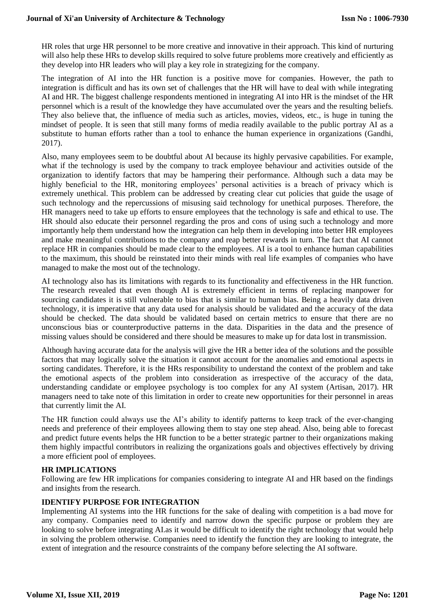HR roles that urge HR personnel to be more creative and innovative in their approach. This kind of nurturing will also help these HRs to develop skills required to solve future problems more creatively and efficiently as they develop into HR leaders who will play a key role in strategizing for the company.

The integration of AI into the HR function is a positive move for companies. However, the path to integration is difficult and has its own set of challenges that the HR will have to deal with while integrating AI and HR. The biggest challenge respondents mentioned in integrating AI into HR is the mindset of the HR personnel which is a result of the knowledge they have accumulated over the years and the resulting beliefs. They also believe that, the influence of media such as articles, movies, videos, etc., is huge in tuning the mindset of people. It is seen that still many forms of media readily available to the public portray AI as a substitute to human efforts rather than a tool to enhance the human experience in organizations (Gandhi, 2017).

Also, many employees seem to be doubtful about AI because its highly pervasive capabilities. For example, what if the technology is used by the company to track employee behaviour and activities outside of the organization to identify factors that may be hampering their performance. Although such a data may be highly beneficial to the HR, monitoring employees' personal activities is a breach of privacy which is extremely unethical. This problem can be addressed by creating clear cut policies that guide the usage of such technology and the repercussions of misusing said technology for unethical purposes. Therefore, the HR managers need to take up efforts to ensure employees that the technology is safe and ethical to use. The HR should also educate their personnel regarding the pros and cons of using such a technology and more importantly help them understand how the integration can help them in developing into better HR employees and make meaningful contributions to the company and reap better rewards in turn. The fact that AI cannot replace HR in companies should be made clear to the employees. AI is a tool to enhance human capabilities to the maximum, this should be reinstated into their minds with real life examples of companies who have managed to make the most out of the technology.

AI technology also has its limitations with regards to its functionality and effectiveness in the HR function. The research revealed that even though AI is extremely efficient in terms of replacing manpower for sourcing candidates it is still vulnerable to bias that is similar to human bias. Being a heavily data driven technology, it is imperative that any data used for analysis should be validated and the accuracy of the data should be checked. The data should be validated based on certain metrics to ensure that there are no unconscious bias or counterproductive patterns in the data. Disparities in the data and the presence of missing values should be considered and there should be measures to make up for data lost in transmission.

Although having accurate data for the analysis will give the HR a better idea of the solutions and the possible factors that may logically solve the situation it cannot account for the anomalies and emotional aspects in sorting candidates. Therefore, it is the HRs responsibility to understand the context of the problem and take the emotional aspects of the problem into consideration as irrespective of the accuracy of the data, understanding candidate or employee psychology is too complex for any AI system (Artisan, 2017). HR managers need to take note of this limitation in order to create new opportunities for their personnel in areas that currently limit the AI.

The HR function could always use the AI's ability to identify patterns to keep track of the ever-changing needs and preference of their employees allowing them to stay one step ahead. Also, being able to forecast and predict future events helps the HR function to be a better strategic partner to their organizations making them highly impactful contributors in realizing the organizations goals and objectives effectively by driving a more efficient pool of employees.

#### **HR IMPLICATIONS**

Following are few HR implications for companies considering to integrate AI and HR based on the findings and insights from the research.

#### **IDENTIFY PURPOSE FOR INTEGRATION**

Implementing AI systems into the HR functions for the sake of dealing with competition is a bad move for any company. Companies need to identify and narrow down the specific purpose or problem they are looking to solve before integrating AI.as it would be difficult to identify the right technology that would help in solving the problem otherwise. Companies need to identify the function they are looking to integrate, the extent of integration and the resource constraints of the company before selecting the AI software.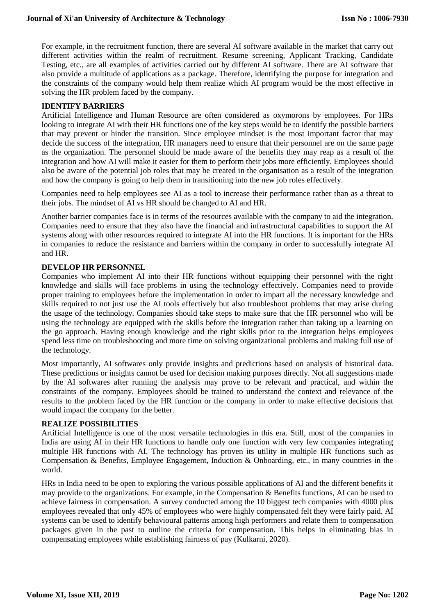For example, in the recruitment function, there are several AI software available in the market that carry out different activities within the realm of recruitment. Resume screening, Applicant Tracking, Candidate Testing, etc., are all examples of activities carried out by different AI software. There are AI software that also provide a multitude of applications as a package. Therefore, identifying the purpose for integration and the constraints of the company would help them realize which AI program would be the most effective in solving the HR problem faced by the company.

#### **IDENTIFY BARRIERS**

Artificial Intelligence and Human Resource are often considered as oxymorons by employees. For HRs looking to integrate AI with their HR functions one of the key steps would be to identify the possible barriers that may prevent or hinder the transition. Since employee mindset is the most important factor that may decide the success of the integration, HR managers need to ensure that their personnel are on the same page as the organization. The personnel should be made aware of the benefits they may reap as a result of the integration and how AI will make it easier for them to perform their jobs more efficiently. Employees should also be aware of the potential job roles that may be created in the organisation as a result of the integration and how the company is going to help them in transitioning into the new job roles effectively.

Companies need to help employees see AI as a tool to increase their performance rather than as a threat to their jobs. The mindset of AI vs HR should be changed to AI and HR.

Another barrier companies face is in terms of the resources available with the company to aid the integration. Companies need to ensure that they also have the financial and infrastructural capabilities to support the AI systems along with other resources required to integrate AI into the HR functions. It is important for the HRs in companies to reduce the resistance and barriers within the company in order to successfully integrate AI and HR.

#### **DEVELOP HR PERSONNEL**

Companies who implement AI into their HR functions without equipping their personnel with the right knowledge and skills will face problems in using the technology effectively. Companies need to provide proper training to employees before the implementation in order to impart all the necessary knowledge and skills required to not just use the AI tools effectively but also troubleshoot problems that may arise during the usage of the technology. Companies should take steps to make sure that the HR personnel who will be using the technology are equipped with the skills before the integration rather than taking up a learning on the go approach. Having enough knowledge and the right skills prior to the integration helps employees spend less time on troubleshooting and more time on solving organizational problems and making full use of the technology.

Most importantly, AI softwares only provide insights and predictions based on analysis of historical data. These predictions or insights cannot be used for decision making purposes directly. Not all suggestions made by the AI softwares after running the analysis may prove to be relevant and practical, and within the constraints of the company. Employees should be trained to understand the context and relevance of the results to the problem faced by the HR function or the company in order to make effective decisions that would impact the company for the better.

#### **REALIZE POSSIBILITIES**

Artificial Intelligence is one of the most versatile technologies in this era. Still, most of the companies in India are using AI in their HR functions to handle only one function with very few companies integrating multiple HR functions with AI. The technology has proven its utility in multiple HR functions such as Compensation & Benefits, Employee Engagement, Induction & Onboarding, etc., in many countries in the world.

HRs in India need to be open to exploring the various possible applications of AI and the different benefits it may provide to the organizations. For example, in the Compensation & Benefits functions, AI can be used to achieve fairness in compensation. A survey conducted among the 10 biggest tech companies with 4000 plus employees revealed that only 45% of employees who were highly compensated felt they were fairly paid. AI systems can be used to identify behavioural patterns among high performers and relate them to compensation packages given in the past to outline the criteria for compensation. This helps in eliminating bias in compensating employees while establishing fairness of pay (Kulkarni, 2020).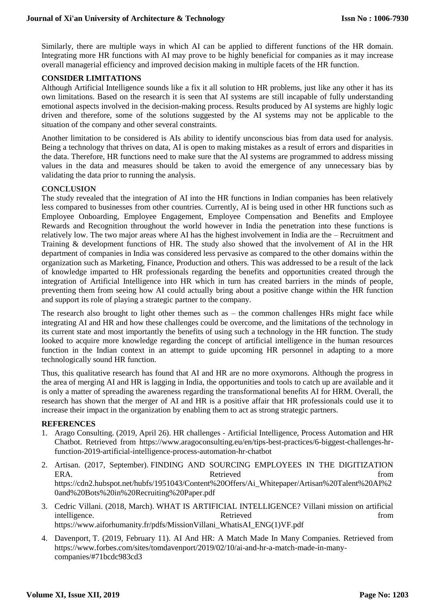Similarly, there are multiple ways in which AI can be applied to different functions of the HR domain. Integrating more HR functions with AI may prove to be highly beneficial for companies as it may increase overall managerial efficiency and improved decision making in multiple facets of the HR function.

#### **CONSIDER LIMITATIONS**

Although Artificial Intelligence sounds like a fix it all solution to HR problems, just like any other it has its own limitations. Based on the research it is seen that AI systems are still incapable of fully understanding emotional aspects involved in the decision-making process. Results produced by AI systems are highly logic driven and therefore, some of the solutions suggested by the AI systems may not be applicable to the situation of the company and other several constraints.

Another limitation to be considered is AIs ability to identify unconscious bias from data used for analysis. Being a technology that thrives on data, AI is open to making mistakes as a result of errors and disparities in the data. Therefore, HR functions need to make sure that the AI systems are programmed to address missing values in the data and measures should be taken to avoid the emergence of any unnecessary bias by validating the data prior to running the analysis.

#### **CONCLUSION**

The study revealed that the integration of AI into the HR functions in Indian companies has been relatively less compared to businesses from other countries. Currently, AI is being used in other HR functions such as Employee Onboarding, Employee Engagement, Employee Compensation and Benefits and Employee Rewards and Recognition throughout the world however in India the penetration into these functions is relatively low. The two major areas where AI has the highest involvement in India are the – Recruitment and Training & development functions of HR. The study also showed that the involvement of AI in the HR department of companies in India was considered less pervasive as compared to the other domains within the organization such as Marketing, Finance, Production and others. This was addressed to be a result of the lack of knowledge imparted to HR professionals regarding the benefits and opportunities created through the integration of Artificial Intelligence into HR which in turn has created barriers in the minds of people, preventing them from seeing how AI could actually bring about a positive change within the HR function and support its role of playing a strategic partner to the company.

The research also brought to light other themes such as  $-$  the common challenges HRs might face while integrating AI and HR and how these challenges could be overcome, and the limitations of the technology in its current state and most importantly the benefits of using such a technology in the HR function. The study looked to acquire more knowledge regarding the concept of artificial intelligence in the human resources function in the Indian context in an attempt to guide upcoming HR personnel in adapting to a more technologically sound HR function.

Thus, this qualitative research has found that AI and HR are no more oxymorons. Although the progress in the area of merging AI and HR is lagging in India, the opportunities and tools to catch up are available and it is only a matter of spreading the awareness regarding the transformational benefits AI for HRM. Overall, the research has shown that the merger of AI and HR is a positive affair that HR professionals could use it to increase their impact in the organization by enabling them to act as strong strategic partners.

#### **REFERENCES**

- 1. Arago Consulting. (2019, April 26). HR challenges Artificial Intelligence, Process Automation and HR Chatbot. Retrieved from https://www.aragoconsulting.eu/en/tips-best-practices/6-biggest-challenges-hrfunction-2019-artificial-intelligence-process-automation-hr-chatbot
- 2. Artisan. (2017, September). FINDING AND SOURCING EMPLOYEES IN THE DIGITIZATION ERA. The results of the Retrieved contract the set of the set of the set of the set of the set of the set of the set of the set of the set of the set of the set of the set of the set of the set of the set of the set of the https://cdn2.hubspot.net/hubfs/1951043/Content%20Offers/Ai\_Whitepaper/Artisan%20Talent%20AI%2 0and%20Bots%20in%20Recruiting%20Paper.pdf
- 3. Cedric Villani. (2018, March). WHAT IS ARTIFICIAL INTELLIGENCE? Villani mission on artificial intelligence. The contract of the extra set of the Retrieved from the from the from the set of the set of the set of the set of the set of the set of the set of the set of the set of the set of the set of the set of the se https://www.aiforhumanity.fr/pdfs/MissionVillani\_WhatisAI\_ENG(1)VF.pdf
- 4. Davenport, T. (2019, February 11). AI And HR: A Match Made In Many Companies. Retrieved from https://www.forbes.com/sites/tomdavenport/2019/02/10/ai-and-hr-a-match-made-in-manycompanies/#71bcdc983cd3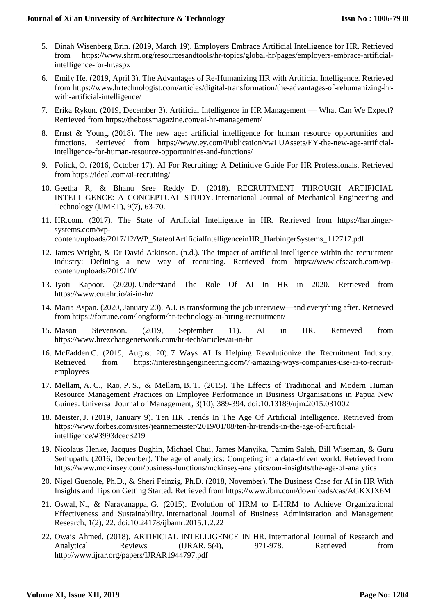- 5. Dinah Wisenberg Brin. (2019, March 19). Employers Embrace Artificial Intelligence for HR. Retrieved from https://www.shrm.org/resourcesandtools/hr-topics/global-hr/pages/employers-embrace-artificialintelligence-for-hr.aspx
- 6. Emily He. (2019, April 3). The Advantages of Re-Humanizing HR with Artificial Intelligence. Retrieved from https://www.hrtechnologist.com/articles/digital-transformation/the-advantages-of-rehumanizing-hrwith-artificial-intelligence/
- 7. Erika Rykun. (2019, December 3). Artificial Intelligence in HR Management What Can We Expect? Retrieved from https://thebossmagazine.com/ai-hr-management/
- 8. Ernst & Young. (2018). The new age: artificial intelligence for human resource opportunities and functions. Retrieved from https://www.ey.com/Publication/vwLUAssets/EY-the-new-age-artificialintelligence-for-human-resource-opportunities-and-functions/
- 9. Folick, O. (2016, October 17). AI For Recruiting: A Definitive Guide For HR Professionals. Retrieved from https://ideal.com/ai-recruiting/
- 10. Geetha R, & Bhanu Sree Reddy D. (2018). RECRUITMENT THROUGH ARTIFICIAL INTELLIGENCE: A CONCEPTUAL STUDY. International Journal of Mechanical Engineering and Technology (IJMET), 9(7), 63-70.
- 11. HR.com. (2017). The State of Artificial Intelligence in HR. Retrieved from https://harbingersystems.com/wpcontent/uploads/2017/12/WP\_StateofArtificialIntelligenceinHR\_HarbingerSystems\_112717.pdf
- 12. James Wright, & Dr David Atkinson. (n.d.). The impact of artificial intelligence within the recruitment industry: Defining a new way of recruiting. Retrieved from https://www.cfsearch.com/wpcontent/uploads/2019/10/
- 13. Jyoti Kapoor. (2020). Understand The Role Of AI In HR in 2020. Retrieved from https://www.cutehr.io/ai-in-hr/
- 14. Maria Aspan. (2020, January 20). A.I. is transforming the job interview—and everything after. Retrieved from https://fortune.com/longform/hr-technology-ai-hiring-recruitment/
- 15. Mason Stevenson. (2019, September 11). AI in HR. Retrieved from https://www.hrexchangenetwork.com/hr-tech/articles/ai-in-hr
- 16. McFadden C. (2019, August 20). 7 Ways AI Is Helping Revolutionize the Recruitment Industry. Retrieved from https://interestingengineering.com/7-amazing-ways-companies-use-ai-to-recruitemployees
- 17. Mellam, A. C., Rao, P. S., & Mellam, B. T. (2015). The Effects of Traditional and Modern Human Resource Management Practices on Employee Performance in Business Organisations in Papua New Guinea. Universal Journal of Management, 3(10), 389-394. doi:10.13189/ujm.2015.031002
- 18. Meister, J. (2019, January 9). Ten HR Trends In The Age Of Artificial Intelligence. Retrieved from https://www.forbes.com/sites/jeannemeister/2019/01/08/ten-hr-trends-in-the-age-of-artificialintelligence/#3993dcec3219
- 19. Nicolaus Henke, Jacques Bughin, Michael Chui, James Manyika, Tamim Saleh, Bill Wiseman, & Guru Sethupath. (2016, December). The age of analytics: Competing in a data-driven world. Retrieved from https://www.mckinsey.com/business-functions/mckinsey-analytics/our-insights/the-age-of-analytics
- 20. Nigel Guenole, Ph.D., & Sheri Feinzig, Ph.D. (2018, November). The Business Case for AI in HR With Insights and Tips on Getting Started. Retrieved from https://www.ibm.com/downloads/cas/AGKXJX6M
- 21. Oswal, N., & Narayanappa, G. (2015). Evolution of HRM to E-HRM to Achieve Organizational Effectiveness and Sustainability. International Journal of Business Administration and Management Research, 1(2), 22. doi:10.24178/ijbamr.2015.1.2.22
- 22. Owais Ahmed. (2018). ARTIFICIAL INTELLIGENCE IN HR. International Journal of Research and Analytical Reviews (IJRAR, 5(4), 971-978. Retrieved from http://www.ijrar.org/papers/IJRAR1944797.pdf